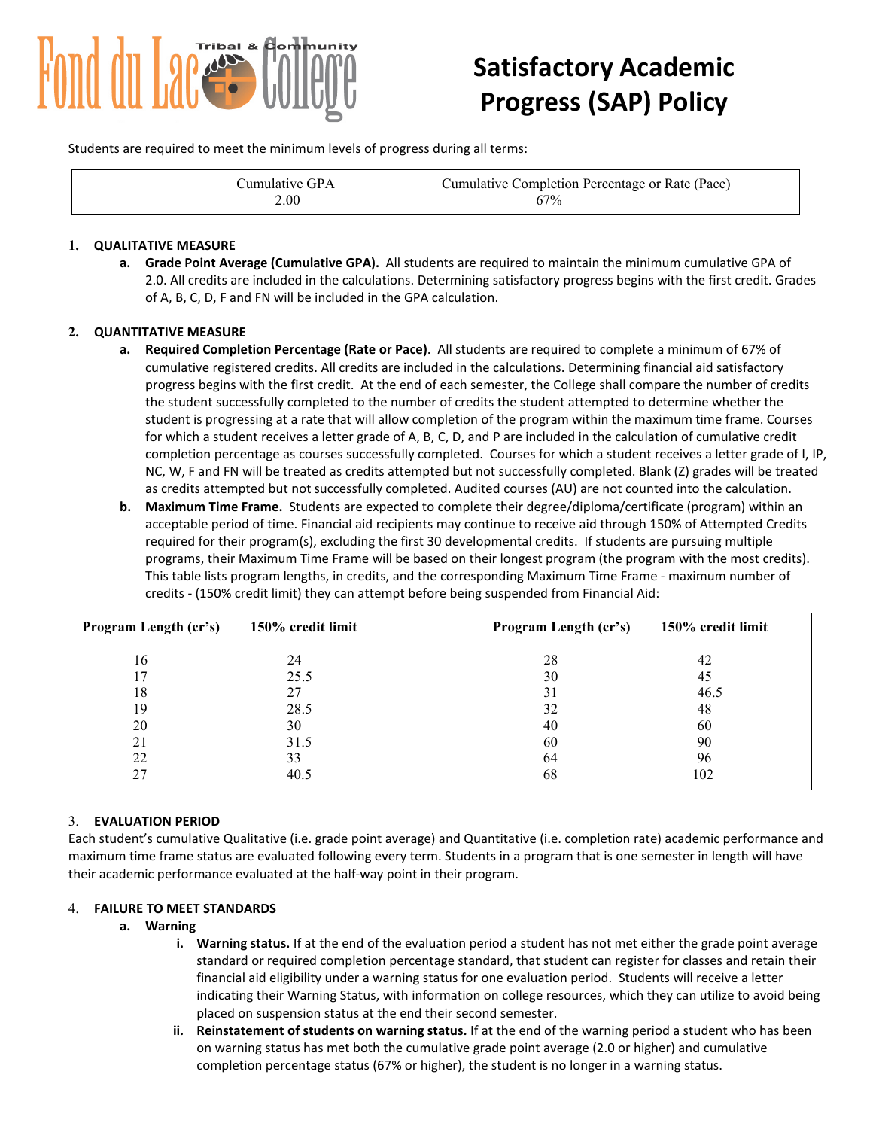

# **Satisfactory Academic Progress (SAP) Policy**

Students are required to meet the minimum levels of progress during all terms:

| Cumulative GPA | Cumulative Completion Percentage or Rate (Pace) |
|----------------|-------------------------------------------------|
| 2.00           | 67%                                             |

#### **1. QUALITATIVE MEASURE**

**a. Grade Point Average (Cumulative GPA).** All students are required to maintain the minimum cumulative GPA of 2.0. All credits are included in the calculations. Determining satisfactory progress begins with the first credit. Grades of A, B, C, D, F and FN will be included in the GPA calculation.

#### **2. QUANTITATIVE MEASURE**

- **a. Required Completion Percentage (Rate or Pace)**. All students are required to complete a minimum of 67% of cumulative registered credits. All credits are included in the calculations. Determining financial aid satisfactory progress begins with the first credit. At the end of each semester, the College shall compare the number of credits the student successfully completed to the number of credits the student attempted to determine whether the student is progressing at a rate that will allow completion of the program within the maximum time frame. Courses for which a student receives a letter grade of A, B, C, D, and P are included in the calculation of cumulative credit completion percentage as courses successfully completed. Courses for which a student receives a letter grade of I, IP, NC, W, F and FN will be treated as credits attempted but not successfully completed. Blank (Z) grades will be treated as credits attempted but not successfully completed. Audited courses (AU) are not counted into the calculation.
- **b. Maximum Time Frame.** Students are expected to complete their degree/diploma/certificate (program) within an acceptable period of time. Financial aid recipients may continue to receive aid through 150% of Attempted Credits required for their program(s), excluding the first 30 developmental credits. If students are pursuing multiple programs, their Maximum Time Frame will be based on their longest program (the program with the most credits). This table lists program lengths, in credits, and the corresponding Maximum Time Frame - maximum number of credits - (150% credit limit) they can attempt before being suspended from Financial Aid:

| Program Length (cr's) | 150% credit limit | Program Length (cr's) | 150% credit limit |
|-----------------------|-------------------|-----------------------|-------------------|
| 16                    | 24                | 28                    | 42                |
|                       | 25.5              | 30                    | 45                |
| 18                    | 27                | 31                    | 46.5              |
| 19                    | 28.5              | 32                    | 48                |
| 20                    | 30                | 40                    | 60                |
| 21                    | 31.5              | 60                    | 90                |
| 22                    | 33                | 64                    | 96                |
| 27                    | 40.5              | 68                    | 102               |

#### 3. **EVALUATION PERIOD**

Each student's cumulative Qualitative (i.e. grade point average) and Quantitative (i.e. completion rate) academic performance and maximum time frame status are evaluated following every term. Students in a program that is one semester in length will have their academic performance evaluated at the half-way point in their program.

#### 4. **FAILURE TO MEET STANDARDS**

#### **a. Warning**

- **i. Warning status.** If at the end of the evaluation period a student has not met either the grade point average standard or required completion percentage standard, that student can register for classes and retain their financial aid eligibility under a warning status for one evaluation period. Students will receive a letter indicating their Warning Status, with information on college resources, which they can utilize to avoid being placed on suspension status at the end their second semester.
- **Reinstatement of students on warning status.** If at the end of the warning period a student who has been on warning status has met both the cumulative grade point average (2.0 or higher) and cumulative completion percentage status (67% or higher), the student is no longer in a warning status.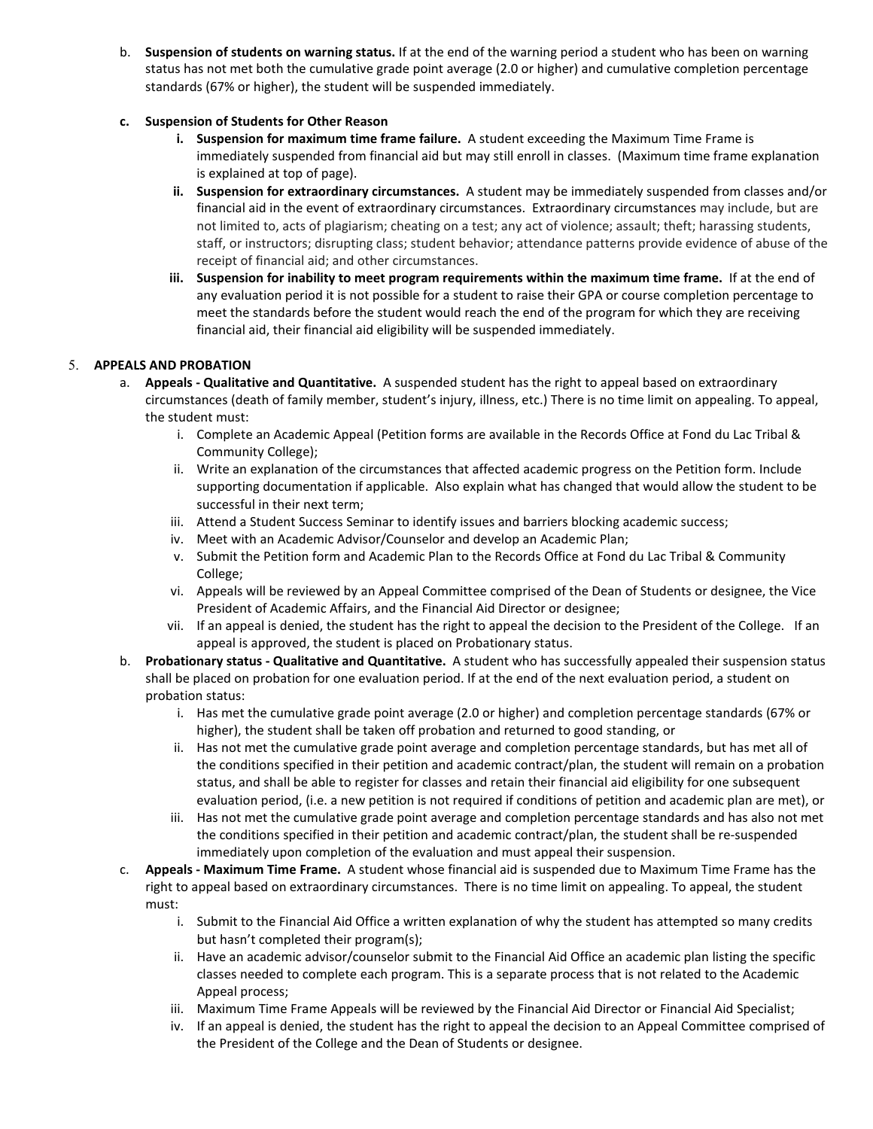b. **Suspension of students on warning status.** If at the end of the warning period a student who has been on warning status has not met both the cumulative grade point average (2.0 or higher) and cumulative completion percentage standards (67% or higher), the student will be suspended immediately.

# **c. Suspension of Students for Other Reason**

- **i. Suspension for maximum time frame failure.** A student exceeding the Maximum Time Frame is immediately suspended from financial aid but may still enroll in classes. (Maximum time frame explanation is explained at top of page).
- **ii. Suspension for extraordinary circumstances.** A student may be immediately suspended from classes and/or financial aid in the event of extraordinary circumstances. Extraordinary circumstances may include, but are not limited to, acts of plagiarism; cheating on a test; any act of violence; assault; theft; harassing students, staff, or instructors; disrupting class; student behavior; attendance patterns provide evidence of abuse of the receipt of financial aid; and other circumstances.
- **iii. Suspension for inability to meet program requirements within the maximum time frame.** If at the end of any evaluation period it is not possible for a student to raise their GPA or course completion percentage to meet the standards before the student would reach the end of the program for which they are receiving financial aid, their financial aid eligibility will be suspended immediately.

# 5. **APPEALS AND PROBATION**

- a. **Appeals - Qualitative and Quantitative.** A suspended student has the right to appeal based on extraordinary circumstances (death of family member, student's injury, illness, etc.) There is no time limit on appealing. To appeal, the student must:
	- i. Complete an Academic Appeal (Petition forms are available in the Records Office at Fond du Lac Tribal & Community College);
	- ii. Write an explanation of the circumstances that affected academic progress on the Petition form. Include supporting documentation if applicable. Also explain what has changed that would allow the student to be successful in their next term;
	- iii. Attend a Student Success Seminar to identify issues and barriers blocking academic success;
	- iv. Meet with an Academic Advisor/Counselor and develop an Academic Plan;
	- v. Submit the Petition form and Academic Plan to the Records Office at Fond du Lac Tribal & Community College;
	- vi. Appeals will be reviewed by an Appeal Committee comprised of the Dean of Students or designee, the Vice President of Academic Affairs, and the Financial Aid Director or designee;
	- vii. If an appeal is denied, the student has the right to appeal the decision to the President of the College. If an appeal is approved, the student is placed on Probationary status.
- b. **Probationary status - Qualitative and Quantitative.** A student who has successfully appealed their suspension status shall be placed on probation for one evaluation period. If at the end of the next evaluation period, a student on probation status:
	- i. Has met the cumulative grade point average (2.0 or higher) and completion percentage standards (67% or higher), the student shall be taken off probation and returned to good standing, or
	- ii. Has not met the cumulative grade point average and completion percentage standards, but has met all of the conditions specified in their petition and academic contract/plan, the student will remain on a probation status, and shall be able to register for classes and retain their financial aid eligibility for one subsequent evaluation period, (i.e. a new petition is not required if conditions of petition and academic plan are met), or
	- iii. Has not met the cumulative grade point average and completion percentage standards and has also not met the conditions specified in their petition and academic contract/plan, the student shall be re-suspended immediately upon completion of the evaluation and must appeal their suspension.
- c. **Appeals - Maximum Time Frame.** A student whose financial aid is suspended due to Maximum Time Frame has the right to appeal based on extraordinary circumstances. There is no time limit on appealing. To appeal, the student must:
	- i. Submit to the Financial Aid Office a written explanation of why the student has attempted so many credits but hasn't completed their program(s);
	- ii. Have an academic advisor/counselor submit to the Financial Aid Office an academic plan listing the specific classes needed to complete each program. This is a separate process that is not related to the Academic Appeal process;
	- iii. Maximum Time Frame Appeals will be reviewed by the Financial Aid Director or Financial Aid Specialist;
	- iv. If an appeal is denied, the student has the right to appeal the decision to an Appeal Committee comprised of the President of the College and the Dean of Students or designee.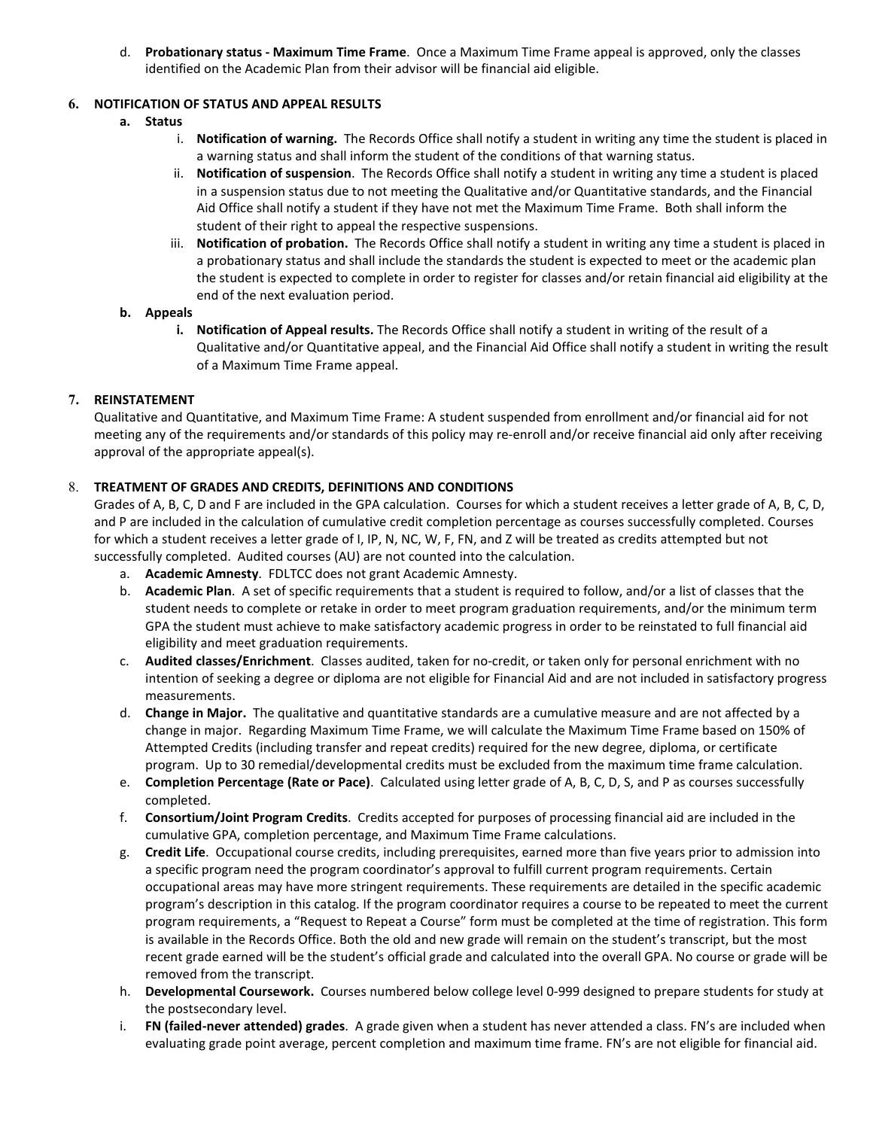d. **Probationary status - Maximum Time Frame**. Once a Maximum Time Frame appeal is approved, only the classes identified on the Academic Plan from their advisor will be financial aid eligible.

# **6. NOTIFICATION OF STATUS AND APPEAL RESULTS**

- **a. Status**
	- i. **Notification of warning.** The Records Office shall notify a student in writing any time the student is placed in a warning status and shall inform the student of the conditions of that warning status.
	- ii. **Notification of suspension**.The Records Office shall notify a student in writing any time a student is placed in a suspension status due to not meeting the Qualitative and/or Quantitative standards, and the Financial Aid Office shall notify a student if they have not met the Maximum Time Frame. Both shall inform the student of their right to appeal the respective suspensions.
	- iii. **Notification of probation.** The Records Office shall notify a student in writing any time a student is placed in a probationary status and shall include the standards the student is expected to meet or the academic plan the student is expected to complete in order to register for classes and/or retain financial aid eligibility at the end of the next evaluation period.

#### **b. Appeals**

**i. Notification of Appeal results.** The Records Office shall notify a student in writing of the result of a Qualitative and/or Quantitative appeal, and the Financial Aid Office shall notify a student in writing the result of a Maximum Time Frame appeal.

# **7. REINSTATEMENT**

Qualitative and Quantitative, and Maximum Time Frame: A student suspended from enrollment and/or financial aid for not meeting any of the requirements and/or standards of this policy may re-enroll and/or receive financial aid only after receiving approval of the appropriate appeal(s).

# 8. **TREATMENT OF GRADES AND CREDITS, DEFINITIONS AND CONDITIONS**

Grades of A, B, C, D and F are included in the GPA calculation. Courses for which a student receives a letter grade of A, B, C, D, and P are included in the calculation of cumulative credit completion percentage as courses successfully completed. Courses for which a student receives a letter grade of I, IP, N, NC, W, F, FN, and Z will be treated as credits attempted but not successfully completed. Audited courses (AU) are not counted into the calculation.

- a. **Academic Amnesty**. FDLTCC does not grant Academic Amnesty.
- b. **Academic Plan**. A set of specific requirements that a student is required to follow, and/or a list of classes that the student needs to complete or retake in order to meet program graduation requirements, and/or the minimum term GPA the student must achieve to make satisfactory academic progress in order to be reinstated to full financial aid eligibility and meet graduation requirements.
- c. **Audited classes/Enrichment**. Classes audited, taken for no-credit, or taken only for personal enrichment with no intention of seeking a degree or diploma are not eligible for Financial Aid and are not included in satisfactory progress measurements.
- d. **Change in Major.** The qualitative and quantitative standards are a cumulative measure and are not affected by a change in major. Regarding Maximum Time Frame, we will calculate the Maximum Time Frame based on 150% of Attempted Credits (including transfer and repeat credits) required for the new degree, diploma, or certificate program. Up to 30 remedial/developmental credits must be excluded from the maximum time frame calculation.
- e. **Completion Percentage (Rate or Pace)**. Calculated using letter grade of A, B, C, D, S, and P as courses successfully completed.
- f. **Consortium/Joint Program Credits**. Credits accepted for purposes of processing financial aid are included in the cumulative GPA, completion percentage, and Maximum Time Frame calculations.
- g. **Credit Life**. Occupational course credits, including prerequisites, earned more than five years prior to admission into a specific program need the program coordinator's approval to fulfill current program requirements. Certain occupational areas may have more stringent requirements. These requirements are detailed in the specific academic program's description in this catalog. If the program coordinator requires a course to be repeated to meet the current program requirements, a "Request to Repeat a Course" form must be completed at the time of registration. This form is available in the Records Office. Both the old and new grade will remain on the student's transcript, but the most recent grade earned will be the student's official grade and calculated into the overall GPA. No course or grade will be removed from the transcript.
- h. **Developmental Coursework.** Courses numbered below college level 0-999 designed to prepare students for study at the postsecondary level.
- i. **FN (failed-never attended) grades**. A grade given when a student has never attended a class. FN's are included when evaluating grade point average, percent completion and maximum time frame. FN's are not eligible for financial aid.